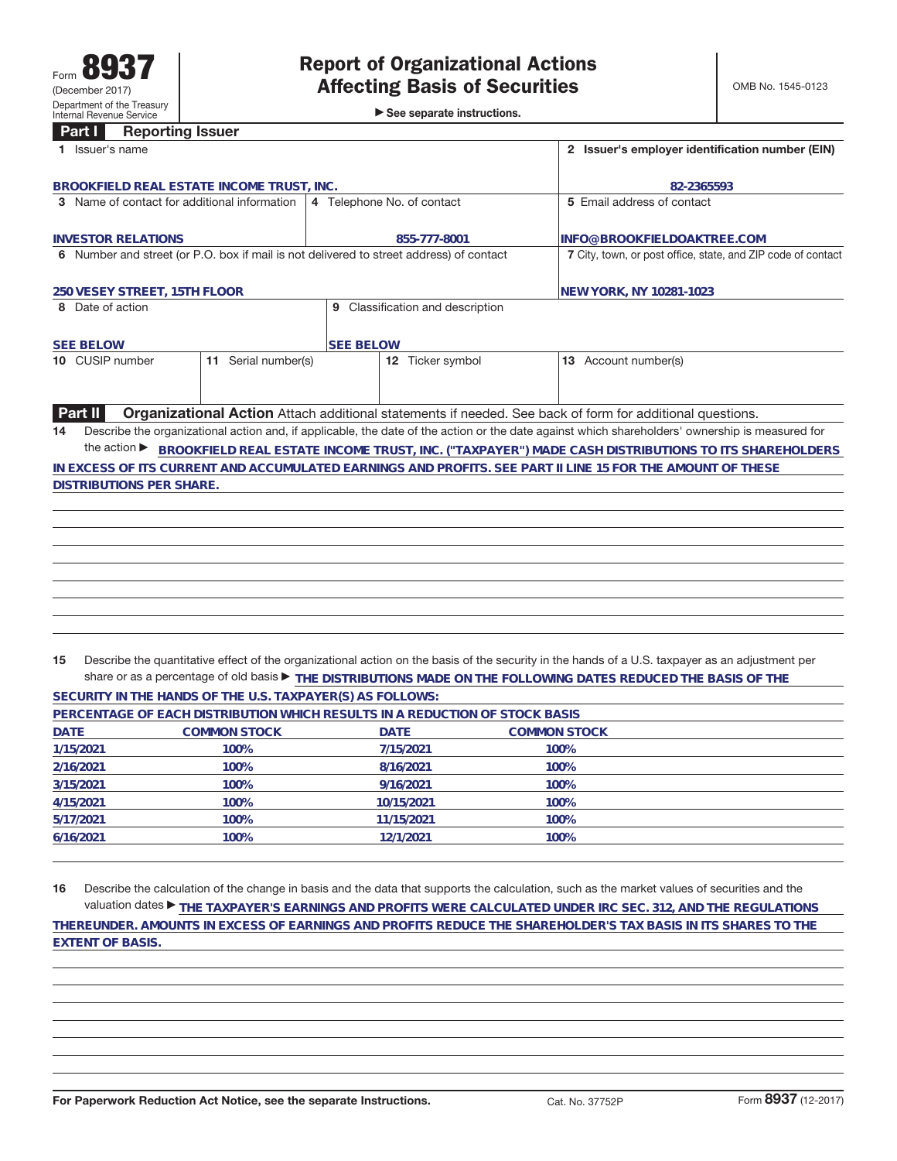►<br>► See separate instructions.

## **Part I Reporting Issuer**

| 1 Issuer's name                                                                                            |                                                                                                          | 2 Issuer's employer identification number (EIN)                                                                                                 |  |  |
|------------------------------------------------------------------------------------------------------------|----------------------------------------------------------------------------------------------------------|-------------------------------------------------------------------------------------------------------------------------------------------------|--|--|
|                                                                                                            |                                                                                                          |                                                                                                                                                 |  |  |
| BROOKFIELD REAL ESTATE INCOME TRUST. INC.                                                                  |                                                                                                          | 82-2365593                                                                                                                                      |  |  |
| 3 Name of contact for additional information                                                               | 4 Telephone No. of contact                                                                               | 5 Email address of contact                                                                                                                      |  |  |
|                                                                                                            |                                                                                                          |                                                                                                                                                 |  |  |
| <b>INVESTOR RELATIONS</b>                                                                                  | 855-777-8001                                                                                             | INFO@BROOKFIELDOAKTREE.COM                                                                                                                      |  |  |
| 6 Number and street (or P.O. box if mail is not delivered to street address) of contact                    |                                                                                                          | 7 City, town, or post office, state, and ZIP code of contact                                                                                    |  |  |
|                                                                                                            |                                                                                                          |                                                                                                                                                 |  |  |
|                                                                                                            |                                                                                                          |                                                                                                                                                 |  |  |
| 250 VESEY STREET, 15TH FLOOR                                                                               |                                                                                                          | NEW YORK, NY 10281-1023                                                                                                                         |  |  |
| 8 Date of action                                                                                           | 9 Classification and description                                                                         |                                                                                                                                                 |  |  |
|                                                                                                            |                                                                                                          |                                                                                                                                                 |  |  |
| <b>SEE BELOW</b>                                                                                           | <b>SEE BELOW</b>                                                                                         |                                                                                                                                                 |  |  |
| 10 CUSIP number<br>11 Serial number(s)                                                                     | 12 Ticker symbol                                                                                         | 13 Account number(s)                                                                                                                            |  |  |
|                                                                                                            |                                                                                                          |                                                                                                                                                 |  |  |
|                                                                                                            |                                                                                                          |                                                                                                                                                 |  |  |
|                                                                                                            |                                                                                                          |                                                                                                                                                 |  |  |
| Part II                                                                                                    | Organizational Action Attach additional statements if needed. See back of form for additional questions. |                                                                                                                                                 |  |  |
| 14                                                                                                         |                                                                                                          | Describe the organizational action and, if applicable, the date of the action or the date against which shareholders' ownership is measured for |  |  |
|                                                                                                            |                                                                                                          | the action ▶ BROOKFIELD REAL ESTATE INCOME TRUST, INC. ("TAXPAYER") MADE CASH DISTRIBUTIONS TO ITS SHAREHOLDERS                                 |  |  |
| IN EXCESS OF ITS CURRENT AND ACCUMULATED EARNINGS AND PROFITS. SEE PART II LINE 15 FOR THE AMOUNT OF THESE |                                                                                                          |                                                                                                                                                 |  |  |
| <b>DISTRIBUTIONS PER SHARE.</b>                                                                            |                                                                                                          |                                                                                                                                                 |  |  |
|                                                                                                            |                                                                                                          |                                                                                                                                                 |  |  |
|                                                                                                            |                                                                                                          |                                                                                                                                                 |  |  |
|                                                                                                            |                                                                                                          |                                                                                                                                                 |  |  |
|                                                                                                            |                                                                                                          |                                                                                                                                                 |  |  |
|                                                                                                            |                                                                                                          |                                                                                                                                                 |  |  |
|                                                                                                            |                                                                                                          |                                                                                                                                                 |  |  |
|                                                                                                            |                                                                                                          |                                                                                                                                                 |  |  |
|                                                                                                            |                                                                                                          |                                                                                                                                                 |  |  |
|                                                                                                            |                                                                                                          |                                                                                                                                                 |  |  |
|                                                                                                            |                                                                                                          |                                                                                                                                                 |  |  |
|                                                                                                            |                                                                                                          |                                                                                                                                                 |  |  |

**15** Describe the quantitative effect of the organizational action on the basis of the security in the hands of a U.S. taxpayer as an adjustment per share or as a percentage of old basis ▶ THE DISTRIBUTIONS MADE ON THE FOLLOWING DATES REDUCED THE BASIS OF THE

|           | SECURITY IN THE HANDS OF THE U.S. TAXPAYER(S) AS FOLLOWS:                   |             |                     |  |
|-----------|-----------------------------------------------------------------------------|-------------|---------------------|--|
|           | PERCENTAGE OF EACH DISTRIBUTION WHICH RESULTS IN A REDUCTION OF STOCK BASIS |             |                     |  |
| DATE      | <b>COMMON STOCK</b>                                                         | <b>DATE</b> | <b>COMMON STOCK</b> |  |
| 1/15/2021 | 100%                                                                        | 7/15/2021   | 100%                |  |
| 2/16/2021 | 100%                                                                        | 8/16/2021   | 100%                |  |
| 3/15/2021 | 100%                                                                        | 9/16/2021   | 100%                |  |
| 4/15/2021 | 100%                                                                        | 10/15/2021  | 100%                |  |
| 5/17/2021 | 100%                                                                        | 11/15/2021  | 100%                |  |
| 6/16/2021 | 100%                                                                        | 12/1/2021   | 100%                |  |
|           |                                                                             |             |                     |  |

**16** Describe the calculation of the change in basis and the data that supports the calculation, such as the market values of securities and the valuation dates ▶ THE TAXPAYER'S EARNINGS AND PROFITS WERE CALCULATED UNDER IRC SEC. 312, AND THE REGULATIONS **THEREUNDER. AMOUNTS IN EXCESS OF EARNINGS AND PROFITS REDUCE THE SHAREHOLDER'S TAX BASIS IN ITS SHARES TO THE EXTENT OF BASIS**